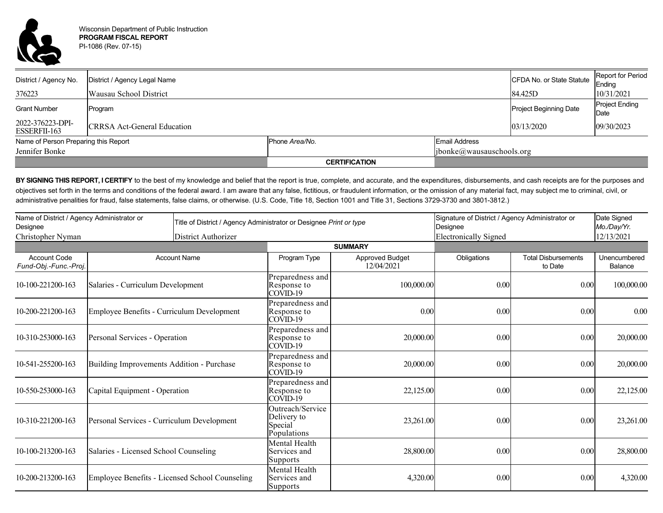

| District / Agency No.                | District / Agency Legal Name       |                      |                            | CFDA No. or State Statute | <b>Report for Period</b><br>Ending |  |
|--------------------------------------|------------------------------------|----------------------|----------------------------|---------------------------|------------------------------------|--|
| 376223                               | Wausau School District             |                      |                            | 84.425D                   | 10/31/2021                         |  |
| <b>Grant Number</b>                  | Program                            |                      |                            | Project Beginning Date    | <b>Project Ending</b><br>Date      |  |
| 2022-376223-DPI-<br>ESSERFII-163     | <b>CRRSA Act-General Education</b> |                      |                            | 03/13/2020                | 09/30/2023                         |  |
| Name of Person Preparing this Report |                                    | Phone Area/No.       | Email Address              |                           |                                    |  |
| Jennifer Bonke                       |                                    |                      | [ibonke@wausauschools.org] |                           |                                    |  |
|                                      |                                    | <b>CERTIFICATION</b> |                            |                           |                                    |  |

BY SIGNING THIS REPORT, I CERTIFY to the best of my knowledge and belief that the report is true, complete, and accurate, and the expenditures, disbursements, and cash receipts are for the purposes and objectives set forth in the terms and conditions of the federal award. I am aware that any false, fictitious, or fraudulent information, or the omission of any material fact, may subject me to criminal, civil, or administrative penalities for fraud, false statements, false claims, or otherwise. (U.S. Code, Title 18, Section 1001 and Title 31, Sections 3729-3730 and 3801-3812.)

| Name of District / Agency Administrator or<br>Designee<br>Christopher Nyman |                                                | Title of District / Agency Administrator or Designee Print or type<br>District Authorizer |                                                           |                                      | Signature of District / Agency Administrator or<br>Designee<br><b>Electronically Signed</b> |                                       | Date Signed<br>Mo./Day/Yr.<br>12/13/2021 |  |
|-----------------------------------------------------------------------------|------------------------------------------------|-------------------------------------------------------------------------------------------|-----------------------------------------------------------|--------------------------------------|---------------------------------------------------------------------------------------------|---------------------------------------|------------------------------------------|--|
|                                                                             |                                                |                                                                                           |                                                           |                                      |                                                                                             |                                       |                                          |  |
| <b>Account Code</b><br>Fund-Obj.-Func.-Proj.                                |                                                | <b>Account Name</b>                                                                       | Program Type                                              | <b>Approved Budget</b><br>12/04/2021 | Obligations                                                                                 | <b>Total Disbursements</b><br>to Date | Unencumbered<br>Balance                  |  |
| 10-100-221200-163                                                           | Salaries - Curriculum Development              |                                                                                           | Preparedness and<br>Response to<br>COVID-19               | 100,000.00                           | 0.00                                                                                        | 0.00                                  | 100,000.00                               |  |
| 10-200-221200-163                                                           | Employee Benefits - Curriculum Development     |                                                                                           | Preparedness and<br>Response to<br>COVID-19               | 0.00                                 | 0.00                                                                                        | 0.00                                  | 0.00                                     |  |
| 10-310-253000-163                                                           | Personal Services - Operation                  |                                                                                           | Preparedness and<br>Response to<br>$COVI$ D-19            | 20,000.00                            | 0.00                                                                                        | 0.00                                  | 20,000.00                                |  |
| 10-541-255200-163                                                           | Building Improvements Addition - Purchase      |                                                                                           | Preparedness and<br>Response to<br>COVID-19               | 20,000.00                            | 0.00                                                                                        | 0.00                                  | 20,000.00                                |  |
| 10-550-253000-163                                                           | Capital Equipment - Operation                  |                                                                                           | Preparedness and<br>Response to<br>$COVI$ D-19            | 22,125.00                            | 0.00                                                                                        | 0.00                                  | 22,125.00                                |  |
| 10-310-221200-163                                                           | Personal Services - Curriculum Development     |                                                                                           | Outreach/Service<br>Delivery to<br>Special<br>Populations | 23,261.00                            | 0.00                                                                                        | 0.00                                  | 23,261.00                                |  |
| 10-100-213200-163                                                           | Salaries - Licensed School Counseling          |                                                                                           | Mental Health<br>Services and<br>Supports                 | 28,800.00                            | 0.00                                                                                        | 0.00                                  | 28,800.00                                |  |
| 10-200-213200-163                                                           | Employee Benefits - Licensed School Counseling |                                                                                           | Mental Health<br>Services and<br>Supports                 | 4,320.00                             | 0.00                                                                                        | 0.00                                  | 4,320.00                                 |  |